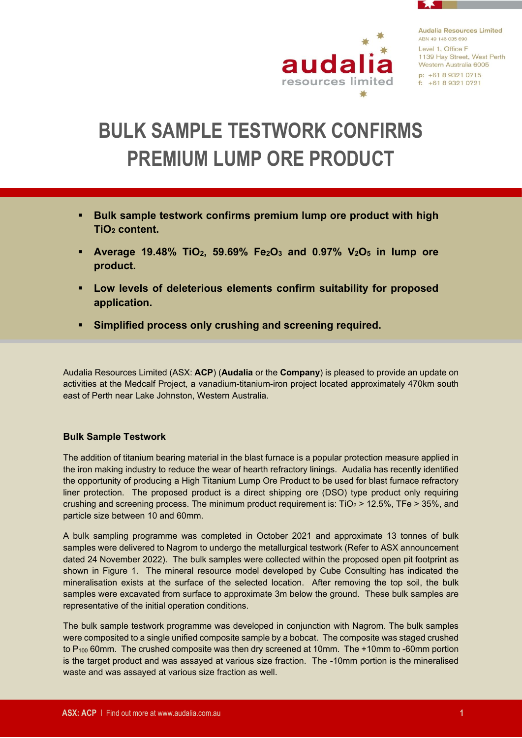

# **BULK SAMPLE TESTWORK CONFIRMS PREMIUM LUMP ORE PRODUCT**

- **Bulk sample testwork confirms premium lump ore product with high TiO<sup>2</sup> content.**
- **Average 19.48% TiO2, 59.69% Fe2O<sup>3</sup> and 0.97% V2O<sup>5</sup> in lump ore product.**
- **Low levels of deleterious elements confirm suitability for proposed application.**
- **Simplified process only crushing and screening required.**

Audalia Resources Limited (ASX: **ACP**) (**Audalia** or the **Company**) is pleased to provide an update on activities at the Medcalf Project, a vanadium-titanium-iron project located approximately 470km south east of Perth near Lake Johnston, Western Australia.

## **Bulk Sample Testwork**

The addition of titanium bearing material in the blast furnace is a popular protection measure applied in the iron making industry to reduce the wear of hearth refractory linings. Audalia has recently identified the opportunity of producing a High Titanium Lump Ore Product to be used for blast furnace refractory liner protection. The proposed product is a direct shipping ore (DSO) type product only requiring crushing and screening process. The minimum product requirement is:  $TiO<sub>2</sub> > 12.5$ %, TFe  $> 35$ %, and particle size between 10 and 60mm.

A bulk sampling programme was completed in October 2021 and approximate 13 tonnes of bulk samples were delivered to Nagrom to undergo the metallurgical testwork (Refer to ASX announcement dated 24 November 2022). The bulk samples were collected within the proposed open pit footprint as shown in Figure 1. The mineral resource model developed by Cube Consulting has indicated the mineralisation exists at the surface of the selected location. After removing the top soil, the bulk samples were excavated from surface to approximate 3m below the ground. These bulk samples are representative of the initial operation conditions.

The bulk sample testwork programme was developed in conjunction with Nagrom. The bulk samples were composited to a single unified composite sample by a bobcat. The composite was staged crushed to P<sub>100</sub> 60mm. The crushed composite was then dry screened at 10mm. The +10mm to -60mm portion is the target product and was assayed at various size fraction. The -10mm portion is the mineralised waste and was assayed at various size fraction as well.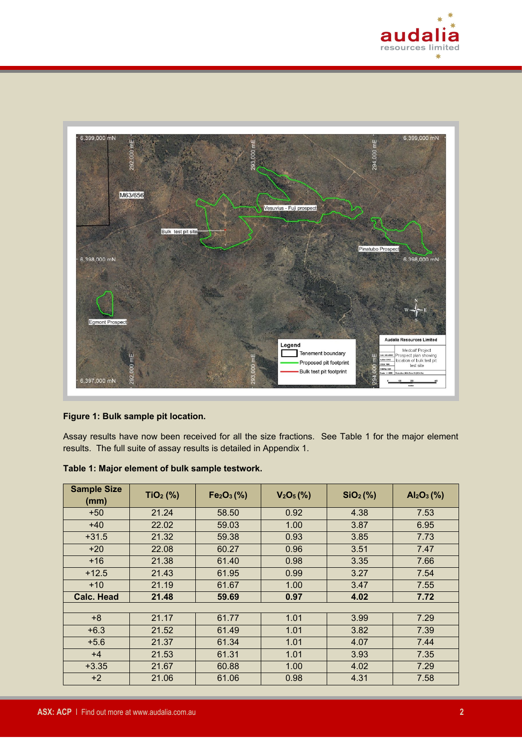



#### **Figure 1: Bulk sample pit location.**

Assay results have now been received for all the size fractions. See Table 1 for the major element results. The full suite of assay results is detailed in Appendix 1.

| <b>Sample Size</b><br>(mm) | $TiO2$ (%) | Fe <sub>2</sub> O <sub>3</sub> (%) | V <sub>2</sub> O <sub>5</sub> (%) | SiO <sub>2</sub> (%) | $Al_2O_3$ (%) |
|----------------------------|------------|------------------------------------|-----------------------------------|----------------------|---------------|
| $+50$                      | 21.24      | 58.50                              | 0.92                              | 4.38                 | 7.53          |
| $+40$                      | 22.02      | 59.03                              | 1.00                              | 3.87                 | 6.95          |
| $+31.5$                    | 21.32      | 59.38                              | 0.93                              | 3.85                 | 7.73          |
| $+20$                      | 22.08      | 60.27                              | 0.96                              | 3.51                 | 7.47          |
| $+16$                      | 21.38      | 61.40                              | 0.98                              | 3.35                 | 7.66          |
| $+12.5$                    | 21.43      | 61.95                              | 0.99                              | 3.27                 | 7.54          |
| $+10$                      | 21.19      | 61.67                              | 1.00                              | 3.47                 | 7.55          |
| <b>Calc. Head</b>          | 21.48      | 59.69                              | 0.97                              | 4.02                 | 7.72          |
|                            |            |                                    |                                   |                      |               |
| $+8$                       | 21.17      | 61.77                              | 1.01                              | 3.99                 | 7.29          |
| $+6.3$                     | 21.52      | 61.49                              | 1.01                              | 3.82                 | 7.39          |
| $+5.6$                     | 21.37      | 61.34                              | 1.01                              | 4.07                 | 7.44          |
| $+4$                       | 21.53      | 61.31                              | 1.01                              | 3.93                 | 7.35          |
| $+3.35$                    | 21.67      | 60.88                              | 1.00                              | 4.02                 | 7.29          |
| $+2$                       | 21.06      | 61.06                              | 0.98                              | 4.31                 | 7.58          |

#### **Table 1: Major element of bulk sample testwork.**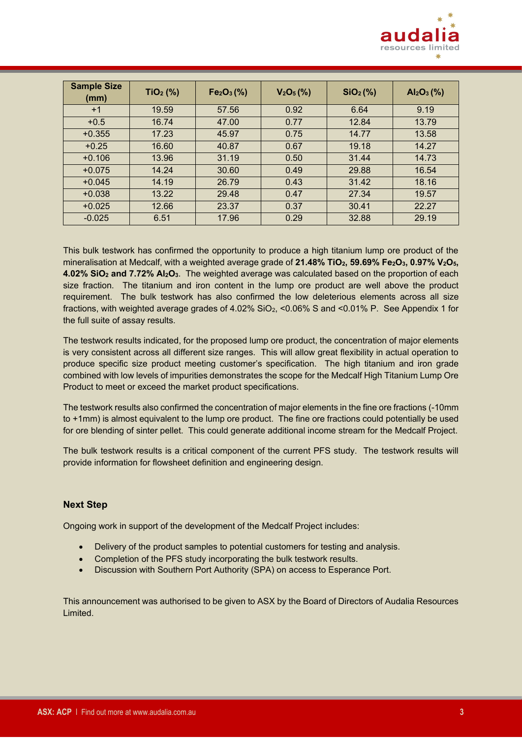

| <b>Sample Size</b><br>(mm) | $TiO2$ (%) | Fe <sub>2</sub> O <sub>3</sub> (%) | $V_2O_5(\%)$ | SiO <sub>2</sub> (%) | $Al_2O_3(\% )$ |
|----------------------------|------------|------------------------------------|--------------|----------------------|----------------|
| $+1$                       | 19.59      | 57.56                              | 0.92         | 6.64                 | 9.19           |
| $+0.5$                     | 16.74      | 47.00                              | 0.77         | 12.84                | 13.79          |
| $+0.355$                   | 17.23      | 45.97                              | 0.75         | 14.77                | 13.58          |
| $+0.25$                    | 16.60      | 40.87                              | 0.67         | 19.18                | 14.27          |
| $+0.106$                   | 13.96      | 31.19                              | 0.50         | 31.44                | 14.73          |
| $+0.075$                   | 14.24      | 30.60                              | 0.49         | 29.88                | 16.54          |
| $+0.045$                   | 14.19      | 26.79                              | 0.43         | 31.42                | 18.16          |
| $+0.038$                   | 13.22      | 29.48                              | 0.47         | 27.34                | 19.57          |
| $+0.025$                   | 12.66      | 23.37                              | 0.37         | 30.41                | 22.27          |
| $-0.025$                   | 6.51       | 17.96                              | 0.29         | 32.88                | 29.19          |

This bulk testwork has confirmed the opportunity to produce a high titanium lump ore product of the mineralisation at Medcalf, with a weighted average grade of **21.48% TiO2, 59.69% Fe2O3, 0.97% V2O5, 4.02% SiO<sup>2</sup> and 7.72% Al2O3**. The weighted average was calculated based on the proportion of each size fraction. The titanium and iron content in the lump ore product are well above the product requirement. The bulk testwork has also confirmed the low deleterious elements across all size fractions, with weighted average grades of 4.02% SiO2, <0.06% S and <0.01% P. See Appendix 1 for the full suite of assay results.

The testwork results indicated, for the proposed lump ore product, the concentration of major elements is very consistent across all different size ranges. This will allow great flexibility in actual operation to produce specific size product meeting customer's specification. The high titanium and iron grade combined with low levels of impurities demonstrates the scope for the Medcalf High Titanium Lump Ore Product to meet or exceed the market product specifications.

The testwork results also confirmed the concentration of major elements in the fine ore fractions (-10mm to +1mm) is almost equivalent to the lump ore product. The fine ore fractions could potentially be used for ore blending of sinter pellet. This could generate additional income stream for the Medcalf Project.

The bulk testwork results is a critical component of the current PFS study. The testwork results will provide information for flowsheet definition and engineering design.

#### **Next Step**

Ongoing work in support of the development of the Medcalf Project includes:

- Delivery of the product samples to potential customers for testing and analysis.
- Completion of the PFS study incorporating the bulk testwork results.
- Discussion with Southern Port Authority (SPA) on access to Esperance Port.

This announcement was authorised to be given to ASX by the Board of Directors of Audalia Resources Limited.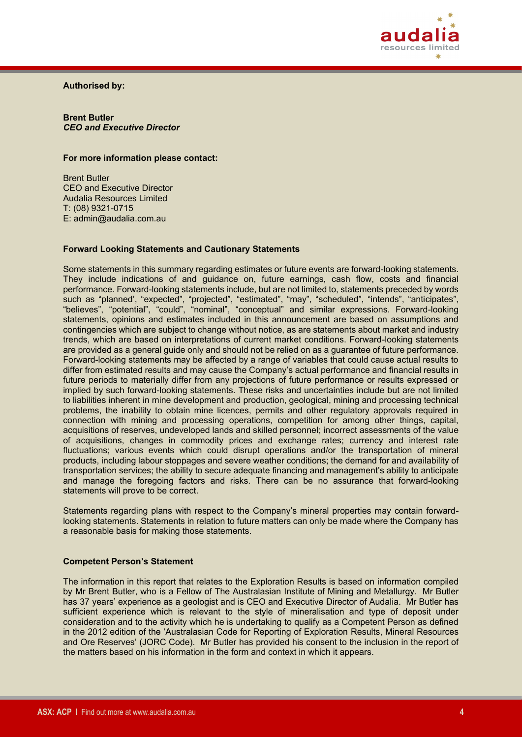

**Authorised by:**

**Brent Butler** *CEO and Executive Director*

#### **For more information please contact:**

Brent Butler CEO and Executive Director Audalia Resources Limited T: (08) 9321-0715 E: admin@audalia.com.au

#### **Forward Looking Statements and Cautionary Statements**

Some statements in this summary regarding estimates or future events are forward-looking statements. They include indications of and guidance on, future earnings, cash flow, costs and financial performance. Forward-looking statements include, but are not limited to, statements preceded by words such as "planned', "expected", "projected", "estimated", "may", "scheduled", "intends", "anticipates", "believes", "potential", "could", "nominal", "conceptual" and similar expressions. Forward-looking statements, opinions and estimates included in this announcement are based on assumptions and contingencies which are subject to change without notice, as are statements about market and industry trends, which are based on interpretations of current market conditions. Forward-looking statements are provided as a general guide only and should not be relied on as a guarantee of future performance. Forward-looking statements may be affected by a range of variables that could cause actual results to differ from estimated results and may cause the Company's actual performance and financial results in future periods to materially differ from any projections of future performance or results expressed or implied by such forward-looking statements. These risks and uncertainties include but are not limited to liabilities inherent in mine development and production, geological, mining and processing technical problems, the inability to obtain mine licences, permits and other regulatory approvals required in connection with mining and processing operations, competition for among other things, capital, acquisitions of reserves, undeveloped lands and skilled personnel; incorrect assessments of the value of acquisitions, changes in commodity prices and exchange rates; currency and interest rate fluctuations; various events which could disrupt operations and/or the transportation of mineral products, including labour stoppages and severe weather conditions; the demand for and availability of transportation services; the ability to secure adequate financing and management's ability to anticipate and manage the foregoing factors and risks. There can be no assurance that forward-looking statements will prove to be correct.

Statements regarding plans with respect to the Company's mineral properties may contain forwardlooking statements. Statements in relation to future matters can only be made where the Company has a reasonable basis for making those statements.

#### **Competent Person's Statement**

The information in this report that relates to the Exploration Results is based on information compiled by Mr Brent Butler, who is a Fellow of The Australasian Institute of Mining and Metallurgy. Mr Butler has 37 years' experience as a geologist and is CEO and Executive Director of Audalia. Mr Butler has sufficient experience which is relevant to the style of mineralisation and type of deposit under consideration and to the activity which he is undertaking to qualify as a Competent Person as defined in the 2012 edition of the 'Australasian Code for Reporting of Exploration Results, Mineral Resources and Ore Reserves' (JORC Code). Mr Butler has provided his consent to the inclusion in the report of the matters based on his information in the form and context in which it appears.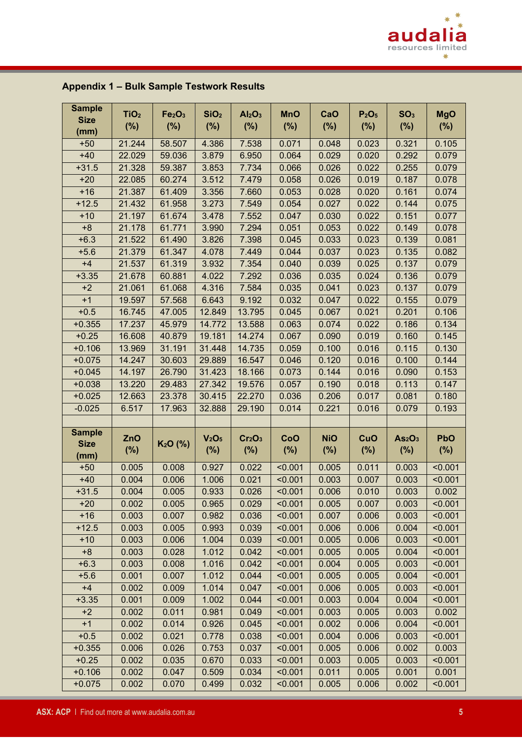

| <b>Sample</b><br><b>Size</b><br>(mm) | TiO <sub>2</sub><br>$(\%)$ | Fe <sub>2</sub> O <sub>3</sub><br>(%) | SiO <sub>2</sub><br>$(\% )$              | Al <sub>2</sub> O <sub>3</sub><br>$(\%)$ | <b>MnO</b><br>$(\%)$ | CaO<br>(%)        | P <sub>2</sub> O <sub>5</sub><br>$(\%)$ | SO <sub>3</sub><br>$(\%)$                | <b>MgO</b><br>$(\%)$ |
|--------------------------------------|----------------------------|---------------------------------------|------------------------------------------|------------------------------------------|----------------------|-------------------|-----------------------------------------|------------------------------------------|----------------------|
| $+50$                                | 21.244                     | 58.507                                | 4.386                                    | 7.538                                    | 0.071                | 0.048             | 0.023                                   | 0.321                                    | 0.105                |
| $+40$                                | 22.029                     | 59.036                                | 3.879                                    | 6.950                                    | 0.064                | 0.029             | 0.020                                   | 0.292                                    | 0.079                |
| $+31.5$                              | 21.328                     | 59.387                                | 3.853                                    | 7.734                                    | 0.066                | 0.026             | 0.022                                   | 0.255                                    | 0.079                |
| $+20$                                | 22.085                     | 60.274                                | 3.512                                    | 7.479                                    | 0.058                | 0.026             | 0.019                                   | 0.187                                    | 0.078                |
| $+16$                                | 21.387                     | 61.409                                | 3.356                                    | 7.660                                    | 0.053                | 0.028             | 0.020                                   | 0.161                                    | 0.074                |
| $+12.5$                              | 21.432                     | 61.958                                | 3.273                                    | 7.549                                    | 0.054                | 0.027             | 0.022                                   | 0.144                                    | 0.075                |
| $+10$                                | 21.197                     | 61.674                                | 3.478                                    | 7.552                                    | 0.047                | 0.030             | 0.022                                   | 0.151                                    | 0.077                |
| $+8$                                 | 21.178                     | 61.771                                | 3.990                                    | 7.294                                    | 0.051                | 0.053             | 0.022                                   | 0.149                                    | 0.078                |
| $+6.3$                               | 21.522                     | 61.490                                | 3.826                                    | 7.398                                    | 0.045                | 0.033             | 0.023                                   | 0.139                                    | 0.081                |
| $+5.6$                               | 21.379                     | 61.347                                | 4.078                                    | 7.449                                    | 0.044                | 0.037             | 0.023                                   | 0.135                                    | 0.082                |
| $+4$                                 | 21.537                     | 61.319                                | 3.932                                    | 7.354                                    | 0.040                | 0.039             | 0.025                                   | 0.137                                    | 0.079                |
| $+3.35$                              | 21.678                     | 60.881                                | 4.022                                    | 7.292                                    | 0.036                | 0.035             | 0.024                                   | 0.136                                    | 0.079                |
| $+2$                                 | 21.061                     | 61.068                                | 4.316                                    | 7.584                                    | 0.035                | 0.041             | 0.023                                   | 0.137                                    | 0.079                |
| $+1$                                 | 19.597                     | 57.568                                | 6.643                                    | 9.192                                    | 0.032                | 0.047             | 0.022                                   | 0.155                                    | 0.079                |
| $+0.5$                               | 16.745                     | 47.005                                | 12.849                                   | 13.795                                   | 0.045                | 0.067             | 0.021                                   | 0.201                                    | 0.106                |
| $+0.355$                             | 17.237                     | 45.979                                | 14.772                                   | 13.588                                   | 0.063                | 0.074             | 0.022                                   | 0.186                                    | 0.134                |
| $+0.25$                              | 16.608                     | 40.879                                | 19.181                                   | 14.274                                   | 0.067                | 0.090             | 0.019                                   | 0.160                                    | 0.145                |
| $+0.106$                             | 13.969                     | 31.191                                | 31.448                                   | 14.735                                   | 0.059                | 0.100             | 0.016                                   | 0.115                                    | 0.130                |
| $+0.075$                             | 14.247                     | 30.603                                | 29.889                                   | 16.547                                   | 0.046                | 0.120             | 0.016                                   | 0.100                                    | 0.144                |
| $+0.045$                             | 14.197                     | 26.790                                | 31.423                                   | 18.166                                   | 0.073                | 0.144             | 0.016                                   | 0.090                                    | 0.153                |
| $+0.038$                             | 13.220                     | 29.483                                | 27.342                                   | 19.576                                   | 0.057                | 0.190             | 0.018                                   | 0.113                                    | 0.147                |
| $+0.025$                             | 12.663                     | 23.378                                | 30.415                                   | 22.270                                   | 0.036                | 0.206             | 0.017                                   | 0.081                                    | 0.180                |
| $-0.025$                             | 6.517                      | 17.963                                | 32.888                                   | 29.190                                   | 0.014                | 0.221             | 0.016                                   | 0.079                                    | 0.193                |
|                                      |                            |                                       |                                          |                                          |                      |                   |                                         |                                          |                      |
| <b>Sample</b><br><b>Size</b><br>(mm) | ZnO<br>$(\%)$              | K <sub>2</sub> O (%)                  | V <sub>2</sub> O <sub>5</sub><br>$(\% )$ | Cr <sub>2</sub> O <sub>3</sub><br>$(\%)$ | CoO<br>$(\%)$        | <b>NiO</b><br>(%) | CuO<br>$(\%)$                           | As <sub>2</sub> O <sub>3</sub><br>$(\%)$ | <b>PbO</b><br>$(\%)$ |
| $+50$                                | 0.005                      | 0.008                                 | 0.927                                    | 0.022                                    | < 0.001              | 0.005             | 0.011                                   | 0.003                                    | < 0.001              |
| $+40$                                | 0.004                      | 0.006                                 | 1.006                                    | 0.021                                    | < 0.001              | 0.003             | 0.007                                   | 0.003                                    | < 0.001              |
| $+31.5$                              | 0.004                      | 0.005                                 | 0.933                                    | 0.026                                    | < 0.001              | 0.006             | 0.010                                   | 0.003                                    | 0.002                |
| $+20$                                | 0.002                      | 0.005                                 | 0.965                                    | 0.029                                    | < 0.001              | 0.005             | 0.007                                   | 0.003                                    | < 0.001              |
| $+16$                                | 0.003                      | 0.007                                 | 0.982                                    | 0.036                                    | < 0.001              | 0.007             | 0.006                                   | 0.003                                    | < 0.001              |
| $+12.5$                              | 0.003                      | 0.005                                 | 0.993                                    | 0.039                                    | < 0.001              | 0.006             | 0.006                                   | 0.004                                    | < 0.001              |
| $+10$                                | 0.003                      | 0.006                                 | 1.004                                    | 0.039                                    | < 0.001              | 0.005             | 0.006                                   | 0.003                                    | < 0.001              |
| $+8$                                 | 0.003                      | 0.028                                 | 1.012                                    | 0.042                                    | < 0.001              | 0.005             | 0.005                                   | 0.004                                    | < 0.001              |
| $+6.3$                               | 0.003                      | 0.008                                 | 1.016                                    | 0.042                                    | < 0.001              | 0.004             | 0.005                                   | 0.003                                    | < 0.001              |
| $+5.6$                               | 0.001                      | 0.007                                 | 1.012                                    | 0.044                                    | < 0.001              | 0.005             | 0.005                                   | 0.004                                    | < 0.001              |
| $+4$                                 | 0.002                      | 0.009                                 | 1.014                                    | 0.047                                    | < 0.001              | 0.006             | 0.005                                   | 0.003                                    | < 0.001              |
| $+3.35$                              | 0.001                      | 0.009                                 | 1.002                                    | 0.044                                    | < 0.001              | 0.003             | 0.004                                   | 0.004                                    | < 0.001              |
| $+2$                                 | 0.002                      | 0.011                                 | 0.981                                    | 0.049                                    | < 0.001              | 0.003             | 0.005                                   | 0.003                                    | 0.002                |
| $+1$                                 | 0.002                      | 0.014                                 | 0.926                                    | 0.045                                    | < 0.001              | 0.002             | 0.006                                   | 0.004                                    | < 0.001              |
| $+0.5$                               | 0.002                      | 0.021                                 | 0.778                                    | 0.038                                    | < 0.001              | 0.004             | 0.006                                   | 0.003                                    | < 0.001              |
| $+0.355$                             | 0.006                      | 0.026                                 | 0.753                                    | 0.037                                    | < 0.001              | 0.005             | 0.006                                   | 0.002                                    | 0.003                |
| $+0.25$                              | 0.002                      | 0.035                                 | 0.670                                    | 0.033                                    | < 0.001              | 0.003             | 0.005                                   | 0.003                                    | < 0.001              |
| $+0.106$                             | 0.002                      | 0.047                                 | 0.509                                    | 0.034                                    | < 0.001              | 0.011             | 0.005                                   | 0.001                                    | 0.001                |
| $+0.075$                             | 0.002                      | 0.070                                 | 0.499                                    | 0.032                                    | < 0.001              | 0.005             | 0.006                                   | 0.002                                    | < 0.001              |

# **Appendix 1 – Bulk Sample Testwork Results**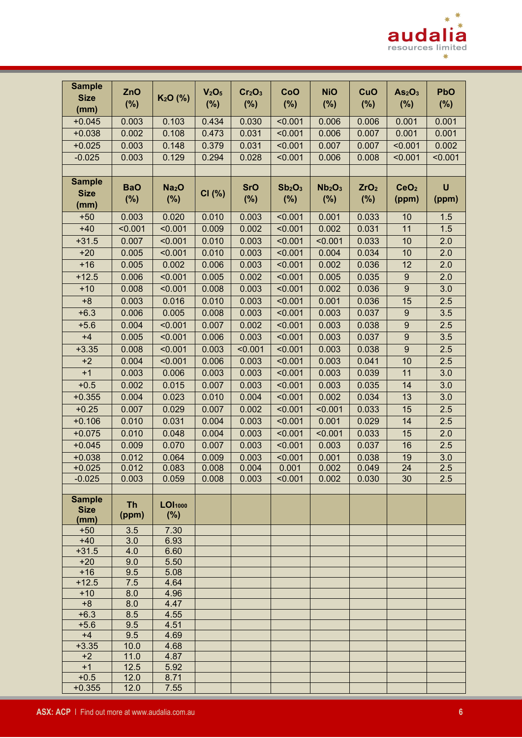

| $(\%)$<br>$(\%)$<br>$(\%)$<br>$(\%)$<br>(%)<br>$(\%)$<br>$(\%)$<br>$(\%)$<br>(mm)<br>$+0.045$<br>0.434<br>0.030<br>0.003<br>0.103<br>< 0.001<br>0.006<br>0.006<br>0.001<br>0.001<br>$+0.038$<br>0.002<br>0.108<br>0.473<br>0.031<br>< 0.001<br>0.006<br>0.007<br>0.001<br>0.001<br>$+0.025$<br>0.003<br>0.148<br>0.379<br>0.031<br>< 0.001<br>0.007<br>< 0.001<br>0.002<br>0.007<br>0.294<br>$-0.025$<br>0.003<br>0.129<br>0.028<br>< 0.001<br>0.006<br>0.008<br>< 0.001<br>< 0.001<br><b>Sample</b><br>$\mathsf{U}$<br><b>BaO</b><br>Na <sub>2</sub> O<br><b>SrO</b><br>Sb <sub>2</sub> O <sub>3</sub><br>Nb <sub>2</sub> O <sub>3</sub><br>ZrO <sub>2</sub><br>CeO <sub>2</sub><br><b>Size</b><br>CI(%)<br>(%)<br>(%)<br>$(\%)$<br>(%)<br>(%)<br>$(\%)$<br>(ppm)<br>(ppm)<br>(mm)<br>0.003<br>0.020<br>0.003<br>< 0.001<br>0.001<br>0.033<br>1.5<br>$+50$<br>0.010<br>10<br>11<br>1.5<br>$+40$<br>< 0.001<br>< 0.001<br>0.009<br>0.002<br>< 0.001<br>0.002<br>0.031<br>0.010<br>10<br>$+31.5$<br>0.007<br>< 0.001<br>0.003<br>< 0.001<br>< 0.001<br>0.033<br>2.0<br>$+20$<br>0.005<br>0.010<br>0.003<br>< 0.001<br>0.004<br>0.034<br>10<br>2.0<br>< 0.001<br>$+16$<br>0.005<br>0.002<br>0.006<br>0.003<br>< 0.001<br>0.002<br>0.036<br>12<br>2.0<br>$+12.5$<br>0.006<br>< 0.001<br>0.005<br>0.002<br>< 0.001<br>0.005<br>0.035<br>$\boldsymbol{9}$<br>2.0<br>$\overline{9}$<br>0.008<br>0.008<br>0.003<br>0.002<br>0.036<br>3.0<br>$+10$<br>< 0.001<br>< 0.001<br>$+8$<br>0.003<br>0.001<br>2.5<br>0.003<br>0.016<br>0.010<br>< 0.001<br>0.036<br>15<br>$\overline{9}$<br>3.5<br>$+6.3$<br>0.006<br>0.005<br>0.008<br>0.003<br>0.003<br>< 0.001<br>0.037<br>$+5.6$<br>$\boldsymbol{9}$<br>0.004<br>< 0.001<br>0.007<br>0.002<br>< 0.001<br>0.003<br>0.038<br>2.5<br>$+4$<br>0.005<br>< 0.001<br>0.006<br>0.003<br>< 0.001<br>0.003<br>0.037<br>$\boldsymbol{9}$<br>3.5<br>$\overline{9}$<br>$+3.35$<br>0.008<br>< 0.001<br>0.003<br>< 0.001<br>< 0.001<br>0.003<br>0.038<br>2.5<br>10<br>$+2$<br>0.004<br>< 0.001<br>0.006<br>0.003<br>< 0.001<br>0.003<br>0.041<br>2.5<br>11<br>$+1$<br>0.003<br>0.003<br>0.003<br>0.003<br>3.0<br>0.006<br>< 0.001<br>0.039<br>$+0.5$<br>14<br>3.0<br>0.002<br>0.015<br>0.007<br>0.003<br>< 0.001<br>0.003<br>0.035<br>13<br>$+0.355$<br>0.004<br>0.023<br>0.010<br>0.004<br>< 0.001<br>0.002<br>0.034<br>3.0<br>$+0.25$<br>0.007<br>0.033<br>15<br>0.007<br>0.029<br>0.002<br>< 0.001<br>< 0.001<br>2.5<br>$+0.106$<br>0.010<br>0.004<br>0.003<br>< 0.001<br>0.001<br>0.029<br>0.031<br>14<br>2.5<br>$+0.075$<br>0.010<br>0.048<br>0.004<br>0.003<br>< 0.001<br>$\overline{0.001}$<br>0.033<br>15<br>2.0<br>$+0.045$<br>0.009<br>0.070<br>0.007<br>0.003<br>< 0.001<br>0.003<br>0.037<br>16<br>2.5<br>3.0<br>$+0.038$<br>0.012<br>0.064<br>0.009<br>0.003<br>< 0.001<br>0.001<br>0.038<br>19 | <b>Sample</b><br><b>Size</b> | ZnO   | K <sub>2</sub> O (%) | V <sub>2</sub> O <sub>5</sub> | Cr <sub>2</sub> O <sub>3</sub> | CoO   | <b>NiO</b> | CuO   | As <sub>2</sub> O <sub>3</sub> | <b>PbO</b> |
|-----------------------------------------------------------------------------------------------------------------------------------------------------------------------------------------------------------------------------------------------------------------------------------------------------------------------------------------------------------------------------------------------------------------------------------------------------------------------------------------------------------------------------------------------------------------------------------------------------------------------------------------------------------------------------------------------------------------------------------------------------------------------------------------------------------------------------------------------------------------------------------------------------------------------------------------------------------------------------------------------------------------------------------------------------------------------------------------------------------------------------------------------------------------------------------------------------------------------------------------------------------------------------------------------------------------------------------------------------------------------------------------------------------------------------------------------------------------------------------------------------------------------------------------------------------------------------------------------------------------------------------------------------------------------------------------------------------------------------------------------------------------------------------------------------------------------------------------------------------------------------------------------------------------------------------------------------------------------------------------------------------------------------------------------------------------------------------------------------------------------------------------------------------------------------------------------------------------------------------------------------------------------------------------------------------------------------------------------------------------------------------------------------------------------------------------------------------------------------------------------------------------------------------------------------------------------------------------------------------------------------------------------------------------------------------------------------------------------------------------------------------------------------------------------------------------------------------|------------------------------|-------|----------------------|-------------------------------|--------------------------------|-------|------------|-------|--------------------------------|------------|
|                                                                                                                                                                                                                                                                                                                                                                                                                                                                                                                                                                                                                                                                                                                                                                                                                                                                                                                                                                                                                                                                                                                                                                                                                                                                                                                                                                                                                                                                                                                                                                                                                                                                                                                                                                                                                                                                                                                                                                                                                                                                                                                                                                                                                                                                                                                                                                                                                                                                                                                                                                                                                                                                                                                                                                                                                                   |                              |       |                      |                               |                                |       |            |       |                                |            |
|                                                                                                                                                                                                                                                                                                                                                                                                                                                                                                                                                                                                                                                                                                                                                                                                                                                                                                                                                                                                                                                                                                                                                                                                                                                                                                                                                                                                                                                                                                                                                                                                                                                                                                                                                                                                                                                                                                                                                                                                                                                                                                                                                                                                                                                                                                                                                                                                                                                                                                                                                                                                                                                                                                                                                                                                                                   |                              |       |                      |                               |                                |       |            |       |                                |            |
|                                                                                                                                                                                                                                                                                                                                                                                                                                                                                                                                                                                                                                                                                                                                                                                                                                                                                                                                                                                                                                                                                                                                                                                                                                                                                                                                                                                                                                                                                                                                                                                                                                                                                                                                                                                                                                                                                                                                                                                                                                                                                                                                                                                                                                                                                                                                                                                                                                                                                                                                                                                                                                                                                                                                                                                                                                   |                              |       |                      |                               |                                |       |            |       |                                |            |
|                                                                                                                                                                                                                                                                                                                                                                                                                                                                                                                                                                                                                                                                                                                                                                                                                                                                                                                                                                                                                                                                                                                                                                                                                                                                                                                                                                                                                                                                                                                                                                                                                                                                                                                                                                                                                                                                                                                                                                                                                                                                                                                                                                                                                                                                                                                                                                                                                                                                                                                                                                                                                                                                                                                                                                                                                                   |                              |       |                      |                               |                                |       |            |       |                                |            |
|                                                                                                                                                                                                                                                                                                                                                                                                                                                                                                                                                                                                                                                                                                                                                                                                                                                                                                                                                                                                                                                                                                                                                                                                                                                                                                                                                                                                                                                                                                                                                                                                                                                                                                                                                                                                                                                                                                                                                                                                                                                                                                                                                                                                                                                                                                                                                                                                                                                                                                                                                                                                                                                                                                                                                                                                                                   |                              |       |                      |                               |                                |       |            |       |                                |            |
|                                                                                                                                                                                                                                                                                                                                                                                                                                                                                                                                                                                                                                                                                                                                                                                                                                                                                                                                                                                                                                                                                                                                                                                                                                                                                                                                                                                                                                                                                                                                                                                                                                                                                                                                                                                                                                                                                                                                                                                                                                                                                                                                                                                                                                                                                                                                                                                                                                                                                                                                                                                                                                                                                                                                                                                                                                   |                              |       |                      |                               |                                |       |            |       |                                |            |
|                                                                                                                                                                                                                                                                                                                                                                                                                                                                                                                                                                                                                                                                                                                                                                                                                                                                                                                                                                                                                                                                                                                                                                                                                                                                                                                                                                                                                                                                                                                                                                                                                                                                                                                                                                                                                                                                                                                                                                                                                                                                                                                                                                                                                                                                                                                                                                                                                                                                                                                                                                                                                                                                                                                                                                                                                                   |                              |       |                      |                               |                                |       |            |       |                                |            |
|                                                                                                                                                                                                                                                                                                                                                                                                                                                                                                                                                                                                                                                                                                                                                                                                                                                                                                                                                                                                                                                                                                                                                                                                                                                                                                                                                                                                                                                                                                                                                                                                                                                                                                                                                                                                                                                                                                                                                                                                                                                                                                                                                                                                                                                                                                                                                                                                                                                                                                                                                                                                                                                                                                                                                                                                                                   |                              |       |                      |                               |                                |       |            |       |                                |            |
|                                                                                                                                                                                                                                                                                                                                                                                                                                                                                                                                                                                                                                                                                                                                                                                                                                                                                                                                                                                                                                                                                                                                                                                                                                                                                                                                                                                                                                                                                                                                                                                                                                                                                                                                                                                                                                                                                                                                                                                                                                                                                                                                                                                                                                                                                                                                                                                                                                                                                                                                                                                                                                                                                                                                                                                                                                   |                              |       |                      |                               |                                |       |            |       |                                |            |
|                                                                                                                                                                                                                                                                                                                                                                                                                                                                                                                                                                                                                                                                                                                                                                                                                                                                                                                                                                                                                                                                                                                                                                                                                                                                                                                                                                                                                                                                                                                                                                                                                                                                                                                                                                                                                                                                                                                                                                                                                                                                                                                                                                                                                                                                                                                                                                                                                                                                                                                                                                                                                                                                                                                                                                                                                                   |                              |       |                      |                               |                                |       |            |       |                                |            |
|                                                                                                                                                                                                                                                                                                                                                                                                                                                                                                                                                                                                                                                                                                                                                                                                                                                                                                                                                                                                                                                                                                                                                                                                                                                                                                                                                                                                                                                                                                                                                                                                                                                                                                                                                                                                                                                                                                                                                                                                                                                                                                                                                                                                                                                                                                                                                                                                                                                                                                                                                                                                                                                                                                                                                                                                                                   |                              |       |                      |                               |                                |       |            |       |                                |            |
|                                                                                                                                                                                                                                                                                                                                                                                                                                                                                                                                                                                                                                                                                                                                                                                                                                                                                                                                                                                                                                                                                                                                                                                                                                                                                                                                                                                                                                                                                                                                                                                                                                                                                                                                                                                                                                                                                                                                                                                                                                                                                                                                                                                                                                                                                                                                                                                                                                                                                                                                                                                                                                                                                                                                                                                                                                   |                              |       |                      |                               |                                |       |            |       |                                |            |
|                                                                                                                                                                                                                                                                                                                                                                                                                                                                                                                                                                                                                                                                                                                                                                                                                                                                                                                                                                                                                                                                                                                                                                                                                                                                                                                                                                                                                                                                                                                                                                                                                                                                                                                                                                                                                                                                                                                                                                                                                                                                                                                                                                                                                                                                                                                                                                                                                                                                                                                                                                                                                                                                                                                                                                                                                                   |                              |       |                      |                               |                                |       |            |       |                                |            |
|                                                                                                                                                                                                                                                                                                                                                                                                                                                                                                                                                                                                                                                                                                                                                                                                                                                                                                                                                                                                                                                                                                                                                                                                                                                                                                                                                                                                                                                                                                                                                                                                                                                                                                                                                                                                                                                                                                                                                                                                                                                                                                                                                                                                                                                                                                                                                                                                                                                                                                                                                                                                                                                                                                                                                                                                                                   |                              |       |                      |                               |                                |       |            |       |                                |            |
|                                                                                                                                                                                                                                                                                                                                                                                                                                                                                                                                                                                                                                                                                                                                                                                                                                                                                                                                                                                                                                                                                                                                                                                                                                                                                                                                                                                                                                                                                                                                                                                                                                                                                                                                                                                                                                                                                                                                                                                                                                                                                                                                                                                                                                                                                                                                                                                                                                                                                                                                                                                                                                                                                                                                                                                                                                   |                              |       |                      |                               |                                |       |            |       |                                |            |
|                                                                                                                                                                                                                                                                                                                                                                                                                                                                                                                                                                                                                                                                                                                                                                                                                                                                                                                                                                                                                                                                                                                                                                                                                                                                                                                                                                                                                                                                                                                                                                                                                                                                                                                                                                                                                                                                                                                                                                                                                                                                                                                                                                                                                                                                                                                                                                                                                                                                                                                                                                                                                                                                                                                                                                                                                                   |                              |       |                      |                               |                                |       |            |       |                                |            |
|                                                                                                                                                                                                                                                                                                                                                                                                                                                                                                                                                                                                                                                                                                                                                                                                                                                                                                                                                                                                                                                                                                                                                                                                                                                                                                                                                                                                                                                                                                                                                                                                                                                                                                                                                                                                                                                                                                                                                                                                                                                                                                                                                                                                                                                                                                                                                                                                                                                                                                                                                                                                                                                                                                                                                                                                                                   |                              |       |                      |                               |                                |       |            |       |                                |            |
|                                                                                                                                                                                                                                                                                                                                                                                                                                                                                                                                                                                                                                                                                                                                                                                                                                                                                                                                                                                                                                                                                                                                                                                                                                                                                                                                                                                                                                                                                                                                                                                                                                                                                                                                                                                                                                                                                                                                                                                                                                                                                                                                                                                                                                                                                                                                                                                                                                                                                                                                                                                                                                                                                                                                                                                                                                   |                              |       |                      |                               |                                |       |            |       |                                |            |
|                                                                                                                                                                                                                                                                                                                                                                                                                                                                                                                                                                                                                                                                                                                                                                                                                                                                                                                                                                                                                                                                                                                                                                                                                                                                                                                                                                                                                                                                                                                                                                                                                                                                                                                                                                                                                                                                                                                                                                                                                                                                                                                                                                                                                                                                                                                                                                                                                                                                                                                                                                                                                                                                                                                                                                                                                                   |                              |       |                      |                               |                                |       |            |       |                                |            |
|                                                                                                                                                                                                                                                                                                                                                                                                                                                                                                                                                                                                                                                                                                                                                                                                                                                                                                                                                                                                                                                                                                                                                                                                                                                                                                                                                                                                                                                                                                                                                                                                                                                                                                                                                                                                                                                                                                                                                                                                                                                                                                                                                                                                                                                                                                                                                                                                                                                                                                                                                                                                                                                                                                                                                                                                                                   |                              |       |                      |                               |                                |       |            |       |                                |            |
|                                                                                                                                                                                                                                                                                                                                                                                                                                                                                                                                                                                                                                                                                                                                                                                                                                                                                                                                                                                                                                                                                                                                                                                                                                                                                                                                                                                                                                                                                                                                                                                                                                                                                                                                                                                                                                                                                                                                                                                                                                                                                                                                                                                                                                                                                                                                                                                                                                                                                                                                                                                                                                                                                                                                                                                                                                   |                              |       |                      |                               |                                |       |            |       |                                |            |
|                                                                                                                                                                                                                                                                                                                                                                                                                                                                                                                                                                                                                                                                                                                                                                                                                                                                                                                                                                                                                                                                                                                                                                                                                                                                                                                                                                                                                                                                                                                                                                                                                                                                                                                                                                                                                                                                                                                                                                                                                                                                                                                                                                                                                                                                                                                                                                                                                                                                                                                                                                                                                                                                                                                                                                                                                                   |                              |       |                      |                               |                                |       |            |       |                                |            |
|                                                                                                                                                                                                                                                                                                                                                                                                                                                                                                                                                                                                                                                                                                                                                                                                                                                                                                                                                                                                                                                                                                                                                                                                                                                                                                                                                                                                                                                                                                                                                                                                                                                                                                                                                                                                                                                                                                                                                                                                                                                                                                                                                                                                                                                                                                                                                                                                                                                                                                                                                                                                                                                                                                                                                                                                                                   |                              |       |                      |                               |                                |       |            |       |                                |            |
|                                                                                                                                                                                                                                                                                                                                                                                                                                                                                                                                                                                                                                                                                                                                                                                                                                                                                                                                                                                                                                                                                                                                                                                                                                                                                                                                                                                                                                                                                                                                                                                                                                                                                                                                                                                                                                                                                                                                                                                                                                                                                                                                                                                                                                                                                                                                                                                                                                                                                                                                                                                                                                                                                                                                                                                                                                   |                              |       |                      |                               |                                |       |            |       |                                |            |
|                                                                                                                                                                                                                                                                                                                                                                                                                                                                                                                                                                                                                                                                                                                                                                                                                                                                                                                                                                                                                                                                                                                                                                                                                                                                                                                                                                                                                                                                                                                                                                                                                                                                                                                                                                                                                                                                                                                                                                                                                                                                                                                                                                                                                                                                                                                                                                                                                                                                                                                                                                                                                                                                                                                                                                                                                                   |                              |       |                      |                               |                                |       |            |       |                                |            |
|                                                                                                                                                                                                                                                                                                                                                                                                                                                                                                                                                                                                                                                                                                                                                                                                                                                                                                                                                                                                                                                                                                                                                                                                                                                                                                                                                                                                                                                                                                                                                                                                                                                                                                                                                                                                                                                                                                                                                                                                                                                                                                                                                                                                                                                                                                                                                                                                                                                                                                                                                                                                                                                                                                                                                                                                                                   |                              |       |                      |                               |                                |       |            |       |                                |            |
|                                                                                                                                                                                                                                                                                                                                                                                                                                                                                                                                                                                                                                                                                                                                                                                                                                                                                                                                                                                                                                                                                                                                                                                                                                                                                                                                                                                                                                                                                                                                                                                                                                                                                                                                                                                                                                                                                                                                                                                                                                                                                                                                                                                                                                                                                                                                                                                                                                                                                                                                                                                                                                                                                                                                                                                                                                   |                              |       |                      |                               |                                |       |            |       |                                |            |
|                                                                                                                                                                                                                                                                                                                                                                                                                                                                                                                                                                                                                                                                                                                                                                                                                                                                                                                                                                                                                                                                                                                                                                                                                                                                                                                                                                                                                                                                                                                                                                                                                                                                                                                                                                                                                                                                                                                                                                                                                                                                                                                                                                                                                                                                                                                                                                                                                                                                                                                                                                                                                                                                                                                                                                                                                                   |                              |       |                      |                               |                                |       |            |       |                                |            |
|                                                                                                                                                                                                                                                                                                                                                                                                                                                                                                                                                                                                                                                                                                                                                                                                                                                                                                                                                                                                                                                                                                                                                                                                                                                                                                                                                                                                                                                                                                                                                                                                                                                                                                                                                                                                                                                                                                                                                                                                                                                                                                                                                                                                                                                                                                                                                                                                                                                                                                                                                                                                                                                                                                                                                                                                                                   |                              |       |                      |                               |                                |       |            |       |                                |            |
|                                                                                                                                                                                                                                                                                                                                                                                                                                                                                                                                                                                                                                                                                                                                                                                                                                                                                                                                                                                                                                                                                                                                                                                                                                                                                                                                                                                                                                                                                                                                                                                                                                                                                                                                                                                                                                                                                                                                                                                                                                                                                                                                                                                                                                                                                                                                                                                                                                                                                                                                                                                                                                                                                                                                                                                                                                   |                              |       |                      |                               |                                |       |            |       |                                |            |
|                                                                                                                                                                                                                                                                                                                                                                                                                                                                                                                                                                                                                                                                                                                                                                                                                                                                                                                                                                                                                                                                                                                                                                                                                                                                                                                                                                                                                                                                                                                                                                                                                                                                                                                                                                                                                                                                                                                                                                                                                                                                                                                                                                                                                                                                                                                                                                                                                                                                                                                                                                                                                                                                                                                                                                                                                                   |                              |       |                      |                               |                                |       |            |       |                                |            |
|                                                                                                                                                                                                                                                                                                                                                                                                                                                                                                                                                                                                                                                                                                                                                                                                                                                                                                                                                                                                                                                                                                                                                                                                                                                                                                                                                                                                                                                                                                                                                                                                                                                                                                                                                                                                                                                                                                                                                                                                                                                                                                                                                                                                                                                                                                                                                                                                                                                                                                                                                                                                                                                                                                                                                                                                                                   | $+0.025$                     | 0.012 | 0.083                | 0.008                         | 0.004                          | 0.001 | 0.002      | 0.049 | 24                             | 2.5        |
| $-0.025$<br>0.003<br>0.008<br>0.003<br>< 0.001<br>0.002<br>0.030<br>30<br>2.5<br>0.059                                                                                                                                                                                                                                                                                                                                                                                                                                                                                                                                                                                                                                                                                                                                                                                                                                                                                                                                                                                                                                                                                                                                                                                                                                                                                                                                                                                                                                                                                                                                                                                                                                                                                                                                                                                                                                                                                                                                                                                                                                                                                                                                                                                                                                                                                                                                                                                                                                                                                                                                                                                                                                                                                                                                            |                              |       |                      |                               |                                |       |            |       |                                |            |
| <b>Sample</b><br><b>Th</b><br>LOI <sub>1000</sub>                                                                                                                                                                                                                                                                                                                                                                                                                                                                                                                                                                                                                                                                                                                                                                                                                                                                                                                                                                                                                                                                                                                                                                                                                                                                                                                                                                                                                                                                                                                                                                                                                                                                                                                                                                                                                                                                                                                                                                                                                                                                                                                                                                                                                                                                                                                                                                                                                                                                                                                                                                                                                                                                                                                                                                                 |                              |       |                      |                               |                                |       |            |       |                                |            |
| <b>Size</b><br>(ppm)<br>(%)<br>(mm)                                                                                                                                                                                                                                                                                                                                                                                                                                                                                                                                                                                                                                                                                                                                                                                                                                                                                                                                                                                                                                                                                                                                                                                                                                                                                                                                                                                                                                                                                                                                                                                                                                                                                                                                                                                                                                                                                                                                                                                                                                                                                                                                                                                                                                                                                                                                                                                                                                                                                                                                                                                                                                                                                                                                                                                               |                              |       |                      |                               |                                |       |            |       |                                |            |
| $+50$<br>7.30<br>3.5                                                                                                                                                                                                                                                                                                                                                                                                                                                                                                                                                                                                                                                                                                                                                                                                                                                                                                                                                                                                                                                                                                                                                                                                                                                                                                                                                                                                                                                                                                                                                                                                                                                                                                                                                                                                                                                                                                                                                                                                                                                                                                                                                                                                                                                                                                                                                                                                                                                                                                                                                                                                                                                                                                                                                                                                              |                              |       |                      |                               |                                |       |            |       |                                |            |
| $+40$<br>3.0<br>6.93                                                                                                                                                                                                                                                                                                                                                                                                                                                                                                                                                                                                                                                                                                                                                                                                                                                                                                                                                                                                                                                                                                                                                                                                                                                                                                                                                                                                                                                                                                                                                                                                                                                                                                                                                                                                                                                                                                                                                                                                                                                                                                                                                                                                                                                                                                                                                                                                                                                                                                                                                                                                                                                                                                                                                                                                              |                              |       |                      |                               |                                |       |            |       |                                |            |
| $+31.5$<br>4.0<br>6.60                                                                                                                                                                                                                                                                                                                                                                                                                                                                                                                                                                                                                                                                                                                                                                                                                                                                                                                                                                                                                                                                                                                                                                                                                                                                                                                                                                                                                                                                                                                                                                                                                                                                                                                                                                                                                                                                                                                                                                                                                                                                                                                                                                                                                                                                                                                                                                                                                                                                                                                                                                                                                                                                                                                                                                                                            |                              |       |                      |                               |                                |       |            |       |                                |            |
| $+20$<br>9.0<br>5.50                                                                                                                                                                                                                                                                                                                                                                                                                                                                                                                                                                                                                                                                                                                                                                                                                                                                                                                                                                                                                                                                                                                                                                                                                                                                                                                                                                                                                                                                                                                                                                                                                                                                                                                                                                                                                                                                                                                                                                                                                                                                                                                                                                                                                                                                                                                                                                                                                                                                                                                                                                                                                                                                                                                                                                                                              |                              |       |                      |                               |                                |       |            |       |                                |            |
| $+16$<br>9.5<br>5.08<br>$+12.5$<br>7.5<br>4.64                                                                                                                                                                                                                                                                                                                                                                                                                                                                                                                                                                                                                                                                                                                                                                                                                                                                                                                                                                                                                                                                                                                                                                                                                                                                                                                                                                                                                                                                                                                                                                                                                                                                                                                                                                                                                                                                                                                                                                                                                                                                                                                                                                                                                                                                                                                                                                                                                                                                                                                                                                                                                                                                                                                                                                                    |                              |       |                      |                               |                                |       |            |       |                                |            |
| $+10$<br>8.0<br>4.96                                                                                                                                                                                                                                                                                                                                                                                                                                                                                                                                                                                                                                                                                                                                                                                                                                                                                                                                                                                                                                                                                                                                                                                                                                                                                                                                                                                                                                                                                                                                                                                                                                                                                                                                                                                                                                                                                                                                                                                                                                                                                                                                                                                                                                                                                                                                                                                                                                                                                                                                                                                                                                                                                                                                                                                                              |                              |       |                      |                               |                                |       |            |       |                                |            |
| $+8$<br>4.47<br>8.0                                                                                                                                                                                                                                                                                                                                                                                                                                                                                                                                                                                                                                                                                                                                                                                                                                                                                                                                                                                                                                                                                                                                                                                                                                                                                                                                                                                                                                                                                                                                                                                                                                                                                                                                                                                                                                                                                                                                                                                                                                                                                                                                                                                                                                                                                                                                                                                                                                                                                                                                                                                                                                                                                                                                                                                                               |                              |       |                      |                               |                                |       |            |       |                                |            |
| $+6.3$<br>8.5<br>4.55                                                                                                                                                                                                                                                                                                                                                                                                                                                                                                                                                                                                                                                                                                                                                                                                                                                                                                                                                                                                                                                                                                                                                                                                                                                                                                                                                                                                                                                                                                                                                                                                                                                                                                                                                                                                                                                                                                                                                                                                                                                                                                                                                                                                                                                                                                                                                                                                                                                                                                                                                                                                                                                                                                                                                                                                             |                              |       |                      |                               |                                |       |            |       |                                |            |
| $+5.6$<br>9.5<br>4.51                                                                                                                                                                                                                                                                                                                                                                                                                                                                                                                                                                                                                                                                                                                                                                                                                                                                                                                                                                                                                                                                                                                                                                                                                                                                                                                                                                                                                                                                                                                                                                                                                                                                                                                                                                                                                                                                                                                                                                                                                                                                                                                                                                                                                                                                                                                                                                                                                                                                                                                                                                                                                                                                                                                                                                                                             |                              |       |                      |                               |                                |       |            |       |                                |            |
| 9.5<br>$+4$<br>4.69                                                                                                                                                                                                                                                                                                                                                                                                                                                                                                                                                                                                                                                                                                                                                                                                                                                                                                                                                                                                                                                                                                                                                                                                                                                                                                                                                                                                                                                                                                                                                                                                                                                                                                                                                                                                                                                                                                                                                                                                                                                                                                                                                                                                                                                                                                                                                                                                                                                                                                                                                                                                                                                                                                                                                                                                               |                              |       |                      |                               |                                |       |            |       |                                |            |
| $+3.35$<br>10.0<br>4.68                                                                                                                                                                                                                                                                                                                                                                                                                                                                                                                                                                                                                                                                                                                                                                                                                                                                                                                                                                                                                                                                                                                                                                                                                                                                                                                                                                                                                                                                                                                                                                                                                                                                                                                                                                                                                                                                                                                                                                                                                                                                                                                                                                                                                                                                                                                                                                                                                                                                                                                                                                                                                                                                                                                                                                                                           |                              |       |                      |                               |                                |       |            |       |                                |            |
| $+2$<br>11.0<br>4.87                                                                                                                                                                                                                                                                                                                                                                                                                                                                                                                                                                                                                                                                                                                                                                                                                                                                                                                                                                                                                                                                                                                                                                                                                                                                                                                                                                                                                                                                                                                                                                                                                                                                                                                                                                                                                                                                                                                                                                                                                                                                                                                                                                                                                                                                                                                                                                                                                                                                                                                                                                                                                                                                                                                                                                                                              |                              |       |                      |                               |                                |       |            |       |                                |            |
| $+1$<br>12.5<br>5.92                                                                                                                                                                                                                                                                                                                                                                                                                                                                                                                                                                                                                                                                                                                                                                                                                                                                                                                                                                                                                                                                                                                                                                                                                                                                                                                                                                                                                                                                                                                                                                                                                                                                                                                                                                                                                                                                                                                                                                                                                                                                                                                                                                                                                                                                                                                                                                                                                                                                                                                                                                                                                                                                                                                                                                                                              |                              |       |                      |                               |                                |       |            |       |                                |            |
| $+0.5$<br>12.0<br>8.71<br>$+0.355$<br>7.55<br>12.0                                                                                                                                                                                                                                                                                                                                                                                                                                                                                                                                                                                                                                                                                                                                                                                                                                                                                                                                                                                                                                                                                                                                                                                                                                                                                                                                                                                                                                                                                                                                                                                                                                                                                                                                                                                                                                                                                                                                                                                                                                                                                                                                                                                                                                                                                                                                                                                                                                                                                                                                                                                                                                                                                                                                                                                |                              |       |                      |                               |                                |       |            |       |                                |            |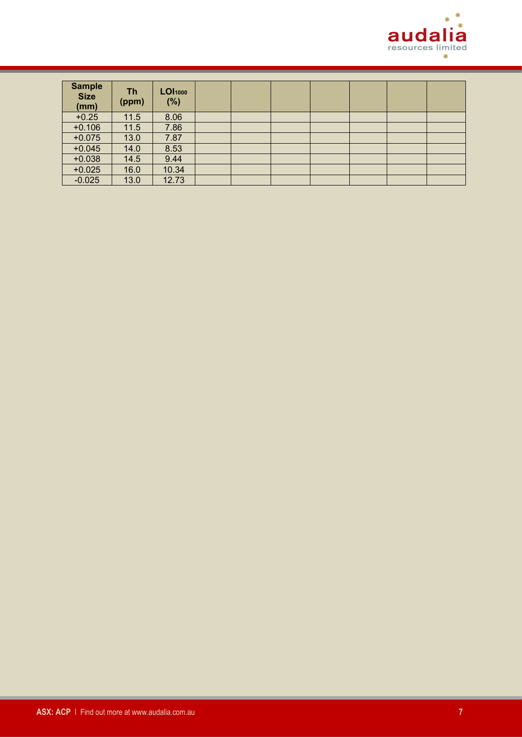

| <b>Sample</b><br><b>Size</b><br>(mm) | Th<br>(ppm) | <b>LOI</b> 1000<br>(%) |  |  |  |  |
|--------------------------------------|-------------|------------------------|--|--|--|--|
| $+0.25$                              | 11.5        | 8.06                   |  |  |  |  |
| $+0.106$                             | 11.5        | 7.86                   |  |  |  |  |
| $+0.075$                             | 13.0        | 7.87                   |  |  |  |  |
| $+0.045$                             | 14.0        | 8.53                   |  |  |  |  |
| $+0.038$                             | 14.5        | 9.44                   |  |  |  |  |
| $+0.025$                             | 16.0        | 10.34                  |  |  |  |  |
| $-0.025$                             | 13.0        | 12.73                  |  |  |  |  |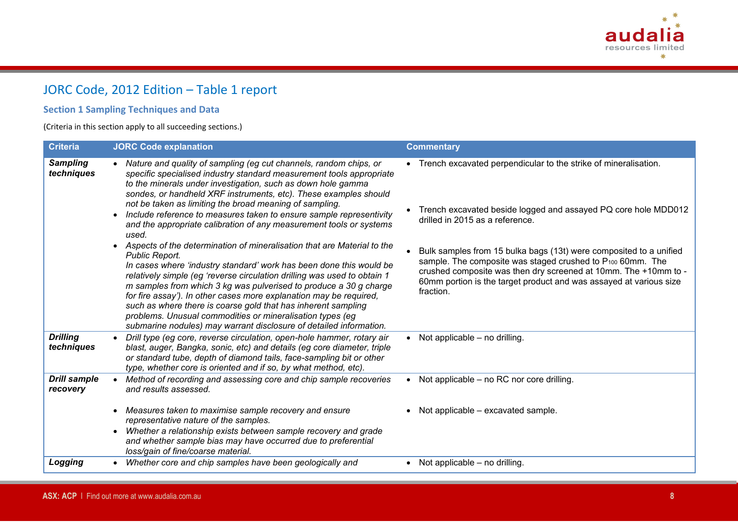

# JORC Code, 2012 Edition – Table 1 report

### **Section 1 Sampling Techniques and Data**

(Criteria in this section apply to all succeeding sections.)

| <b>Criteria</b>                 | <b>JORC Code explanation</b>                                                                                                                                                                                                                                                                                                                                                                                                                                                                                                                                                                                                                                                                                                                                                                                                                                                                                                                                                                                                                                                                       | <b>Commentary</b>                                                                                                                                                                                                                                                                                                                                                                                                                                                            |
|---------------------------------|----------------------------------------------------------------------------------------------------------------------------------------------------------------------------------------------------------------------------------------------------------------------------------------------------------------------------------------------------------------------------------------------------------------------------------------------------------------------------------------------------------------------------------------------------------------------------------------------------------------------------------------------------------------------------------------------------------------------------------------------------------------------------------------------------------------------------------------------------------------------------------------------------------------------------------------------------------------------------------------------------------------------------------------------------------------------------------------------------|------------------------------------------------------------------------------------------------------------------------------------------------------------------------------------------------------------------------------------------------------------------------------------------------------------------------------------------------------------------------------------------------------------------------------------------------------------------------------|
| <b>Sampling</b><br>techniques   | • Nature and quality of sampling (eg cut channels, random chips, or<br>specific specialised industry standard measurement tools appropriate<br>to the minerals under investigation, such as down hole gamma<br>sondes, or handheld XRF instruments, etc). These examples should<br>not be taken as limiting the broad meaning of sampling.<br>Include reference to measures taken to ensure sample representivity<br>and the appropriate calibration of any measurement tools or systems<br>used.<br>• Aspects of the determination of mineralisation that are Material to the<br>Public Report.<br>In cases where 'industry standard' work has been done this would be<br>relatively simple (eg 'reverse circulation drilling was used to obtain 1<br>m samples from which 3 kg was pulverised to produce a 30 g charge<br>for fire assay'). In other cases more explanation may be required,<br>such as where there is coarse gold that has inherent sampling<br>problems. Unusual commodities or mineralisation types (eg<br>submarine nodules) may warrant disclosure of detailed information. | • Trench excavated perpendicular to the strike of mineralisation.<br>Trench excavated beside logged and assayed PQ core hole MDD012<br>drilled in 2015 as a reference.<br>Bulk samples from 15 bulka bags (13t) were composited to a unified<br>sample. The composite was staged crushed to P <sub>100</sub> 60mm. The<br>crushed composite was then dry screened at 10mm. The +10mm to -<br>60mm portion is the target product and was assayed at various size<br>fraction. |
| <b>Drilling</b><br>techniques   | Drill type (eg core, reverse circulation, open-hole hammer, rotary air<br>blast, auger, Bangka, sonic, etc) and details (eg core diameter, triple<br>or standard tube, depth of diamond tails, face-sampling bit or other<br>type, whether core is oriented and if so, by what method, etc).                                                                                                                                                                                                                                                                                                                                                                                                                                                                                                                                                                                                                                                                                                                                                                                                       | $\bullet$ Not applicable – no drilling.                                                                                                                                                                                                                                                                                                                                                                                                                                      |
| <b>Drill sample</b><br>recovery | Method of recording and assessing core and chip sample recoveries<br>$\bullet$<br>and results assessed.                                                                                                                                                                                                                                                                                                                                                                                                                                                                                                                                                                                                                                                                                                                                                                                                                                                                                                                                                                                            | • Not applicable – no RC nor core drilling.                                                                                                                                                                                                                                                                                                                                                                                                                                  |
|                                 | Measures taken to maximise sample recovery and ensure<br>representative nature of the samples.<br>Whether a relationship exists between sample recovery and grade<br>$\bullet$<br>and whether sample bias may have occurred due to preferential<br>loss/gain of fine/coarse material.                                                                                                                                                                                                                                                                                                                                                                                                                                                                                                                                                                                                                                                                                                                                                                                                              | • Not applicable - excavated sample.                                                                                                                                                                                                                                                                                                                                                                                                                                         |
| Logging                         | Whether core and chip samples have been geologically and                                                                                                                                                                                                                                                                                                                                                                                                                                                                                                                                                                                                                                                                                                                                                                                                                                                                                                                                                                                                                                           | • Not applicable $-$ no drilling.                                                                                                                                                                                                                                                                                                                                                                                                                                            |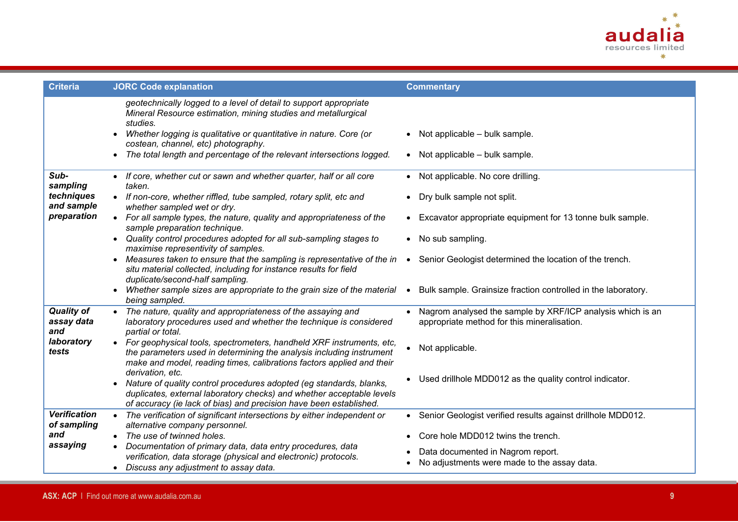

| <b>Criteria</b>                        | <b>JORC Code explanation</b>                                                                                                                                                                                                                                                                                                                      | <b>Commentary</b>                                                                                         |
|----------------------------------------|---------------------------------------------------------------------------------------------------------------------------------------------------------------------------------------------------------------------------------------------------------------------------------------------------------------------------------------------------|-----------------------------------------------------------------------------------------------------------|
|                                        | geotechnically logged to a level of detail to support appropriate<br>Mineral Resource estimation, mining studies and metallurgical<br>studies.<br>Whether logging is qualitative or quantitative in nature. Core (or<br>costean, channel, etc) photography.<br>The total length and percentage of the relevant intersections logged.<br>$\bullet$ | $\bullet$ Not applicable – bulk sample.<br>$\bullet$ Not applicable - bulk sample.                        |
| Sub-<br>sampling                       | • If core, whether cut or sawn and whether quarter, half or all core<br>taken.                                                                                                                                                                                                                                                                    | • Not applicable. No core drilling.                                                                       |
| techniques<br>and sample               | • If non-core, whether riffled, tube sampled, rotary split, etc and<br>whether sampled wet or dry.                                                                                                                                                                                                                                                | Dry bulk sample not split.<br>$\bullet$                                                                   |
| preparation                            | • For all sample types, the nature, quality and appropriateness of the<br>sample preparation technique.                                                                                                                                                                                                                                           | • Excavator appropriate equipment for 13 tonne bulk sample.                                               |
|                                        | • Quality control procedures adopted for all sub-sampling stages to<br>maximise representivity of samples.                                                                                                                                                                                                                                        | • No sub sampling.                                                                                        |
|                                        | Measures taken to ensure that the sampling is representative of the in<br>$\bullet$<br>situ material collected, including for instance results for field<br>duplicate/second-half sampling.                                                                                                                                                       | Senior Geologist determined the location of the trench.<br>$\bullet$                                      |
|                                        | Whether sample sizes are appropriate to the grain size of the material • Bulk sample. Grainsize fraction controlled in the laboratory.<br>$\bullet$<br>being sampled.                                                                                                                                                                             |                                                                                                           |
| <b>Quality of</b><br>assay data<br>and | The nature, quality and appropriateness of the assaying and<br>laboratory procedures used and whether the technique is considered<br>partial or total.                                                                                                                                                                                            | Nagrom analysed the sample by XRF/ICP analysis which is an<br>appropriate method for this mineralisation. |
| laboratory<br>tests                    | • For geophysical tools, spectrometers, handheld XRF instruments, etc,<br>the parameters used in determining the analysis including instrument<br>make and model, reading times, calibrations factors applied and their                                                                                                                           | Not applicable.                                                                                           |
|                                        | derivation, etc.<br>Nature of quality control procedures adopted (eg standards, blanks,<br>duplicates, external laboratory checks) and whether acceptable levels<br>of accuracy (ie lack of bias) and precision have been established.                                                                                                            | • Used drillhole MDD012 as the quality control indicator.                                                 |
| <b>Verification</b><br>of sampling     | • The verification of significant intersections by either independent or<br>alternative company personnel.                                                                                                                                                                                                                                        | Senior Geologist verified results against drillhole MDD012.                                               |
| and                                    | • The use of twinned holes.                                                                                                                                                                                                                                                                                                                       | Core hole MDD012 twins the trench.                                                                        |
| assaying                               | Documentation of primary data, data entry procedures, data<br>verification, data storage (physical and electronic) protocols.<br>• Discuss any adjustment to assay data.                                                                                                                                                                          | Data documented in Nagrom report.<br>No adjustments were made to the assay data.                          |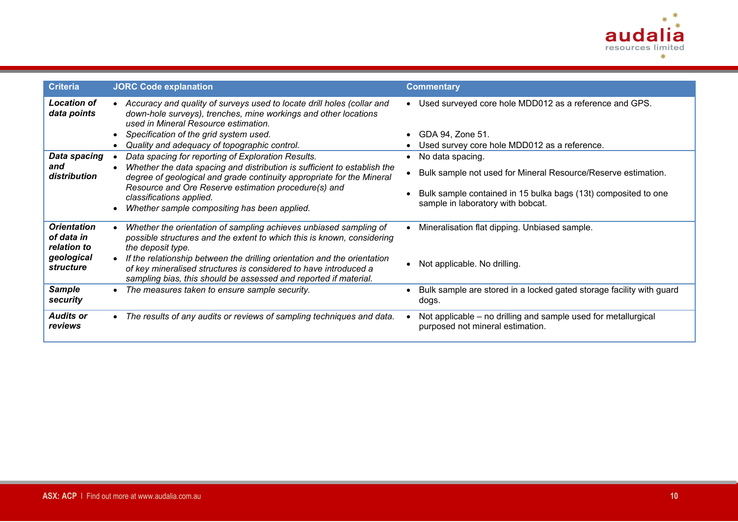

| <b>Criteria</b>                                 | <b>JORC Code explanation</b>                                                                                                                                                                                     | <b>Commentary</b>                                                                                   |
|-------------------------------------------------|------------------------------------------------------------------------------------------------------------------------------------------------------------------------------------------------------------------|-----------------------------------------------------------------------------------------------------|
| <b>Location of</b><br>data points               | Accuracy and quality of surveys used to locate drill holes (collar and<br>down-hole surveys), trenches, mine workings and other locations<br>used in Mineral Resource estimation.                                | • Used surveyed core hole MDD012 as a reference and GPS.                                            |
|                                                 | Specification of the grid system used.                                                                                                                                                                           | GDA 94, Zone 51.                                                                                    |
|                                                 | Quality and adequacy of topographic control.                                                                                                                                                                     | Used survey core hole MDD012 as a reference.                                                        |
| <b>Data spacing</b>                             | Data spacing for reporting of Exploration Results.                                                                                                                                                               | No data spacing.                                                                                    |
| and<br>distribution                             | Whether the data spacing and distribution is sufficient to establish the<br>$\bullet$<br>degree of geological and grade continuity appropriate for the Mineral                                                   | Bulk sample not used for Mineral Resource/Reserve estimation.                                       |
|                                                 | Resource and Ore Reserve estimation procedure(s) and<br>classifications applied.<br>Whether sample compositing has been applied.                                                                                 | Bulk sample contained in 15 bulka bags (13t) composited to one<br>sample in laboratory with bobcat. |
| <b>Orientation</b><br>of data in<br>relation to | Whether the orientation of sampling achieves unbiased sampling of<br>possible structures and the extent to which this is known, considering<br>the deposit type.                                                 | Mineralisation flat dipping. Unbiased sample.                                                       |
| geological<br>structure                         | If the relationship between the drilling orientation and the orientation<br>of key mineralised structures is considered to have introduced a<br>sampling bias, this should be assessed and reported if material. | Not applicable. No drilling.                                                                        |
| <b>Sample</b><br>security                       | The measures taken to ensure sample security.<br>$\bullet$                                                                                                                                                       | Bulk sample are stored in a locked gated storage facility with guard<br>dogs.                       |
| <b>Audits or</b><br>reviews                     | The results of any audits or reviews of sampling techniques and data.<br>$\bullet$                                                                                                                               | Not applicable – no drilling and sample used for metallurgical<br>purposed not mineral estimation.  |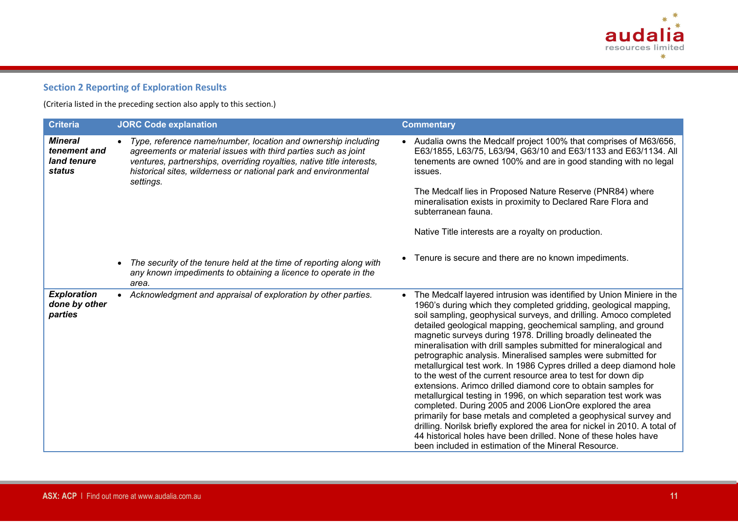

## **Section 2 Reporting of Exploration Results**

(Criteria listed in the preceding section also apply to this section.)

| <b>Criteria</b>                                         | <b>JORC Code explanation</b>                                                                                                                                                                                                                                                             | <b>Commentary</b>                                                                                                                                                                                                                                                                                                                                                                                                                                                                                                                                                                                                                                                                                                                                                                                                                                                                                                                                                                                                                                                                                                         |
|---------------------------------------------------------|------------------------------------------------------------------------------------------------------------------------------------------------------------------------------------------------------------------------------------------------------------------------------------------|---------------------------------------------------------------------------------------------------------------------------------------------------------------------------------------------------------------------------------------------------------------------------------------------------------------------------------------------------------------------------------------------------------------------------------------------------------------------------------------------------------------------------------------------------------------------------------------------------------------------------------------------------------------------------------------------------------------------------------------------------------------------------------------------------------------------------------------------------------------------------------------------------------------------------------------------------------------------------------------------------------------------------------------------------------------------------------------------------------------------------|
| <b>Mineral</b><br>tenement and<br>land tenure<br>status | Type, reference name/number, location and ownership including<br>agreements or material issues with third parties such as joint<br>ventures, partnerships, overriding royalties, native title interests,<br>historical sites, wilderness or national park and environmental<br>settings. | • Audalia owns the Medcalf project 100% that comprises of M63/656,<br>E63/1855, L63/75, L63/94, G63/10 and E63/1133 and E63/1134. All<br>tenements are owned 100% and are in good standing with no legal<br>issues.<br>The Medcalf lies in Proposed Nature Reserve (PNR84) where                                                                                                                                                                                                                                                                                                                                                                                                                                                                                                                                                                                                                                                                                                                                                                                                                                          |
|                                                         |                                                                                                                                                                                                                                                                                          | mineralisation exists in proximity to Declared Rare Flora and<br>subterranean fauna.                                                                                                                                                                                                                                                                                                                                                                                                                                                                                                                                                                                                                                                                                                                                                                                                                                                                                                                                                                                                                                      |
|                                                         |                                                                                                                                                                                                                                                                                          | Native Title interests are a royalty on production.                                                                                                                                                                                                                                                                                                                                                                                                                                                                                                                                                                                                                                                                                                                                                                                                                                                                                                                                                                                                                                                                       |
|                                                         | The security of the tenure held at the time of reporting along with<br>any known impediments to obtaining a licence to operate in the<br>area.                                                                                                                                           | Tenure is secure and there are no known impediments.                                                                                                                                                                                                                                                                                                                                                                                                                                                                                                                                                                                                                                                                                                                                                                                                                                                                                                                                                                                                                                                                      |
| <b>Exploration</b><br>done by other<br>parties          | • Acknowledgment and appraisal of exploration by other parties.                                                                                                                                                                                                                          | The Medcalf layered intrusion was identified by Union Miniere in the<br>$\bullet$<br>1960's during which they completed gridding, geological mapping,<br>soil sampling, geophysical surveys, and drilling. Amoco completed<br>detailed geological mapping, geochemical sampling, and ground<br>magnetic surveys during 1978. Drilling broadly delineated the<br>mineralisation with drill samples submitted for mineralogical and<br>petrographic analysis. Mineralised samples were submitted for<br>metallurgical test work. In 1986 Cypres drilled a deep diamond hole<br>to the west of the current resource area to test for down dip<br>extensions. Arimco drilled diamond core to obtain samples for<br>metallurgical testing in 1996, on which separation test work was<br>completed. During 2005 and 2006 LionOre explored the area<br>primarily for base metals and completed a geophysical survey and<br>drilling. Norilsk briefly explored the area for nickel in 2010. A total of<br>44 historical holes have been drilled. None of these holes have<br>been included in estimation of the Mineral Resource. |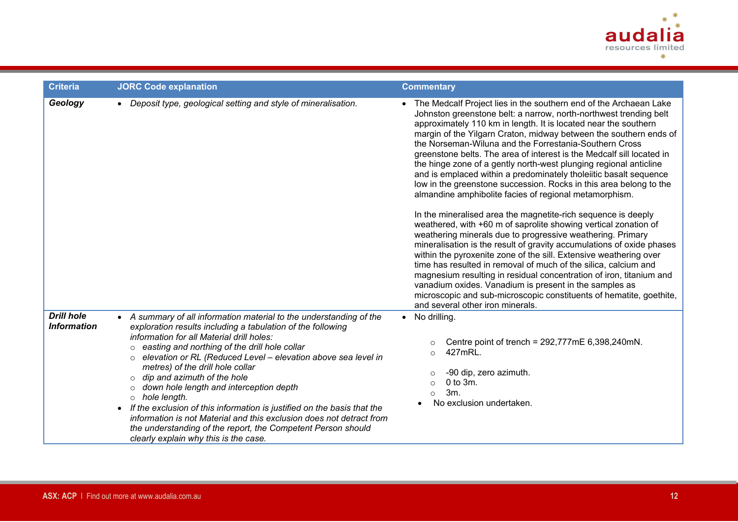

| <b>Criteria</b>                         | <b>JORC Code explanation</b>                                                                                                                                                                                                                                                                                                                                                                                                                                                                                                                                                                                                                                                                                                                       | <b>Commentary</b>                                                                                                                                                                                                                                                                                                                                                                                                                                                                                                                                                                                                                                                                                                                                                                                                                                                                                                                                                                                                                                                                                                                                                                                                                                 |
|-----------------------------------------|----------------------------------------------------------------------------------------------------------------------------------------------------------------------------------------------------------------------------------------------------------------------------------------------------------------------------------------------------------------------------------------------------------------------------------------------------------------------------------------------------------------------------------------------------------------------------------------------------------------------------------------------------------------------------------------------------------------------------------------------------|---------------------------------------------------------------------------------------------------------------------------------------------------------------------------------------------------------------------------------------------------------------------------------------------------------------------------------------------------------------------------------------------------------------------------------------------------------------------------------------------------------------------------------------------------------------------------------------------------------------------------------------------------------------------------------------------------------------------------------------------------------------------------------------------------------------------------------------------------------------------------------------------------------------------------------------------------------------------------------------------------------------------------------------------------------------------------------------------------------------------------------------------------------------------------------------------------------------------------------------------------|
| Geology                                 | • Deposit type, geological setting and style of mineralisation.                                                                                                                                                                                                                                                                                                                                                                                                                                                                                                                                                                                                                                                                                    | • The Medcalf Project lies in the southern end of the Archaean Lake<br>Johnston greenstone belt: a narrow, north-northwest trending belt<br>approximately 110 km in length. It is located near the southern<br>margin of the Yilgarn Craton, midway between the southern ends of<br>the Norseman-Wiluna and the Forrestania-Southern Cross<br>greenstone belts. The area of interest is the Medcalf sill located in<br>the hinge zone of a gently north-west plunging regional anticline<br>and is emplaced within a predominately tholeiitic basalt sequence<br>low in the greenstone succession. Rocks in this area belong to the<br>almandine amphibolite facies of regional metamorphism.<br>In the mineralised area the magnetite-rich sequence is deeply<br>weathered, with +60 m of saprolite showing vertical zonation of<br>weathering minerals due to progressive weathering. Primary<br>mineralisation is the result of gravity accumulations of oxide phases<br>within the pyroxenite zone of the sill. Extensive weathering over<br>time has resulted in removal of much of the silica, calcium and<br>magnesium resulting in residual concentration of iron, titanium and<br>vanadium oxides. Vanadium is present in the samples as |
|                                         |                                                                                                                                                                                                                                                                                                                                                                                                                                                                                                                                                                                                                                                                                                                                                    | microscopic and sub-microscopic constituents of hematite, goethite,<br>and several other iron minerals.                                                                                                                                                                                                                                                                                                                                                                                                                                                                                                                                                                                                                                                                                                                                                                                                                                                                                                                                                                                                                                                                                                                                           |
| <b>Drill hole</b><br><b>Information</b> | • A summary of all information material to the understanding of the<br>exploration results including a tabulation of the following<br>information for all Material drill holes:<br>easting and northing of the drill hole collar<br>$\circ$<br>elevation or RL (Reduced Level - elevation above sea level in<br>metres) of the drill hole collar<br>dip and azimuth of the hole<br>$\circ$<br>down hole length and interception depth<br>$\Omega$<br>$\circ$ hole length.<br>If the exclusion of this information is justified on the basis that the<br>$\bullet$<br>information is not Material and this exclusion does not detract from<br>the understanding of the report, the Competent Person should<br>clearly explain why this is the case. | No drilling.<br>$\bullet$<br>Centre point of trench = $292,777$ mE 6,398,240mN.<br>427mRL.<br>$\circ$<br>-90 dip, zero azimuth.<br>$0$ to $3m$ .<br>$\Omega$<br>3m.<br>$\bigcirc$<br>No exclusion undertaken.                                                                                                                                                                                                                                                                                                                                                                                                                                                                                                                                                                                                                                                                                                                                                                                                                                                                                                                                                                                                                                     |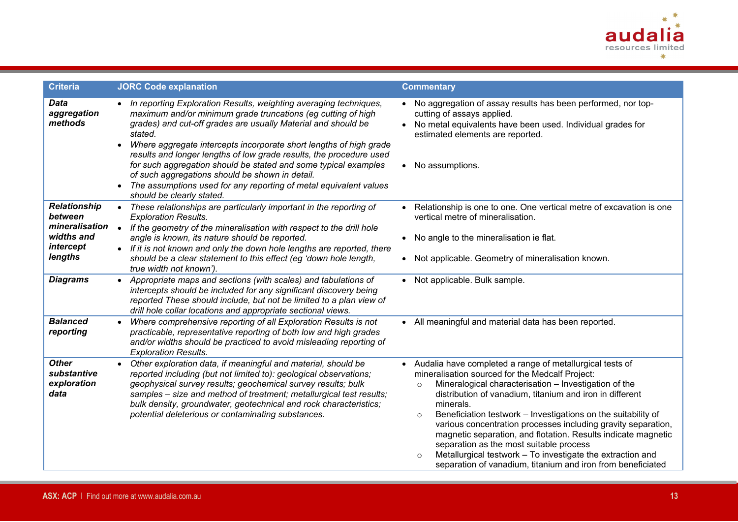

| <b>Criteria</b>                                                                                           | <b>JORC Code explanation</b>                                                                                                                                                                                                                                                                                                                                                                                                                                                                                                                                                                      | <b>Commentary</b>                                                                                                                                                                                                                                                                                                                                                                                                                                                                                                                                                                                                                                           |
|-----------------------------------------------------------------------------------------------------------|---------------------------------------------------------------------------------------------------------------------------------------------------------------------------------------------------------------------------------------------------------------------------------------------------------------------------------------------------------------------------------------------------------------------------------------------------------------------------------------------------------------------------------------------------------------------------------------------------|-------------------------------------------------------------------------------------------------------------------------------------------------------------------------------------------------------------------------------------------------------------------------------------------------------------------------------------------------------------------------------------------------------------------------------------------------------------------------------------------------------------------------------------------------------------------------------------------------------------------------------------------------------------|
| <b>Data</b><br>aggregation<br>methods                                                                     | • In reporting Exploration Results, weighting averaging techniques,<br>maximum and/or minimum grade truncations (eg cutting of high<br>grades) and cut-off grades are usually Material and should be<br>stated.<br>Where aggregate intercepts incorporate short lengths of high grade<br>results and longer lengths of low grade results, the procedure used<br>for such aggregation should be stated and some typical examples<br>of such aggregations should be shown in detail.<br>The assumptions used for any reporting of metal equivalent values<br>$\bullet$<br>should be clearly stated. | • No aggregation of assay results has been performed, nor top-<br>cutting of assays applied.<br>No metal equivalents have been used. Individual grades for<br>$\bullet$<br>estimated elements are reported.<br>No assumptions.                                                                                                                                                                                                                                                                                                                                                                                                                              |
| <b>Relationship</b><br>between<br>mineralisation<br>widths and<br>intercept<br>lengths<br><b>Diagrams</b> | • These relationships are particularly important in the reporting of<br><b>Exploration Results.</b><br>• If the geometry of the mineralisation with respect to the drill hole<br>angle is known, its nature should be reported.<br>• If it is not known and only the down hole lengths are reported, there<br>should be a clear statement to this effect (eg 'down hole length,<br>true width not known').<br>• Appropriate maps and sections (with scales) and tabulations of                                                                                                                    | Relationship is one to one. One vertical metre of excavation is one<br>vertical metre of mineralisation.<br>No angle to the mineralisation ie flat.<br>Not applicable. Geometry of mineralisation known.<br>• Not applicable. Bulk sample.                                                                                                                                                                                                                                                                                                                                                                                                                  |
|                                                                                                           | intercepts should be included for any significant discovery being<br>reported These should include, but not be limited to a plan view of<br>drill hole collar locations and appropriate sectional views.                                                                                                                                                                                                                                                                                                                                                                                          |                                                                                                                                                                                                                                                                                                                                                                                                                                                                                                                                                                                                                                                             |
| <b>Balanced</b><br>reporting                                                                              | • Where comprehensive reporting of all Exploration Results is not<br>practicable, representative reporting of both low and high grades<br>and/or widths should be practiced to avoid misleading reporting of<br><b>Exploration Results.</b>                                                                                                                                                                                                                                                                                                                                                       | • All meaningful and material data has been reported.                                                                                                                                                                                                                                                                                                                                                                                                                                                                                                                                                                                                       |
| <b>Other</b><br>substantive<br>exploration<br>data                                                        | Other exploration data, if meaningful and material, should be<br>$\bullet$<br>reported including (but not limited to): geological observations;<br>geophysical survey results; geochemical survey results; bulk<br>samples - size and method of treatment; metallurgical test results;<br>bulk density, groundwater, geotechnical and rock characteristics;<br>potential deleterious or contaminating substances.                                                                                                                                                                                 | • Audalia have completed a range of metallurgical tests of<br>mineralisation sourced for the Medcalf Project:<br>Mineralogical characterisation - Investigation of the<br>$\circ$<br>distribution of vanadium, titanium and iron in different<br>minerals.<br>Beneficiation testwork - Investigations on the suitability of<br>$\circ$<br>various concentration processes including gravity separation,<br>magnetic separation, and flotation. Results indicate magnetic<br>separation as the most suitable process<br>Metallurgical testwork - To investigate the extraction and<br>$\circ$<br>separation of vanadium, titanium and iron from beneficiated |